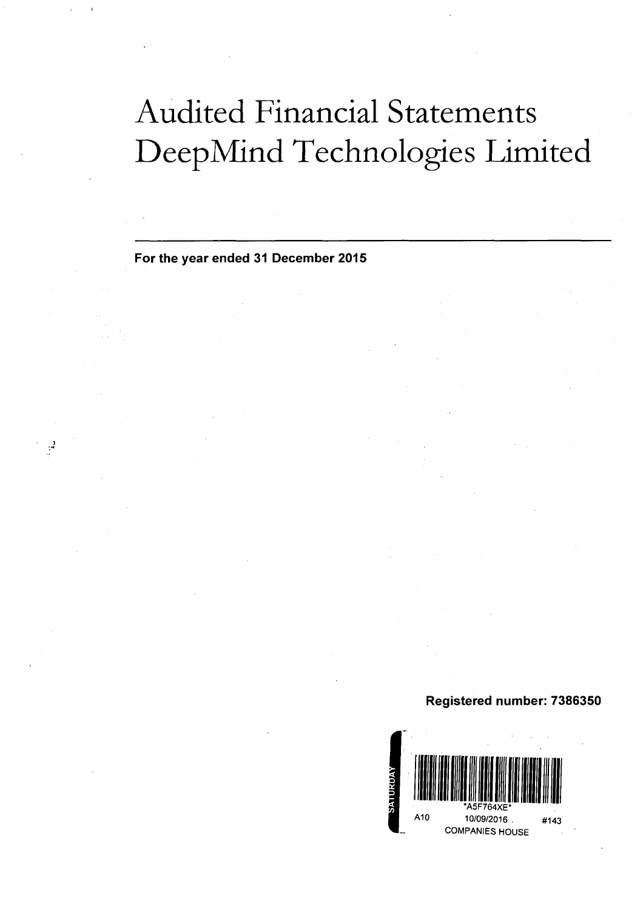# Audited Financial Statements Audited Financial Statements<br>DeepMind Technologies Limited DeepMind Technologies Limited

For the year ended 31 December 2015

### Registered number: 7386350

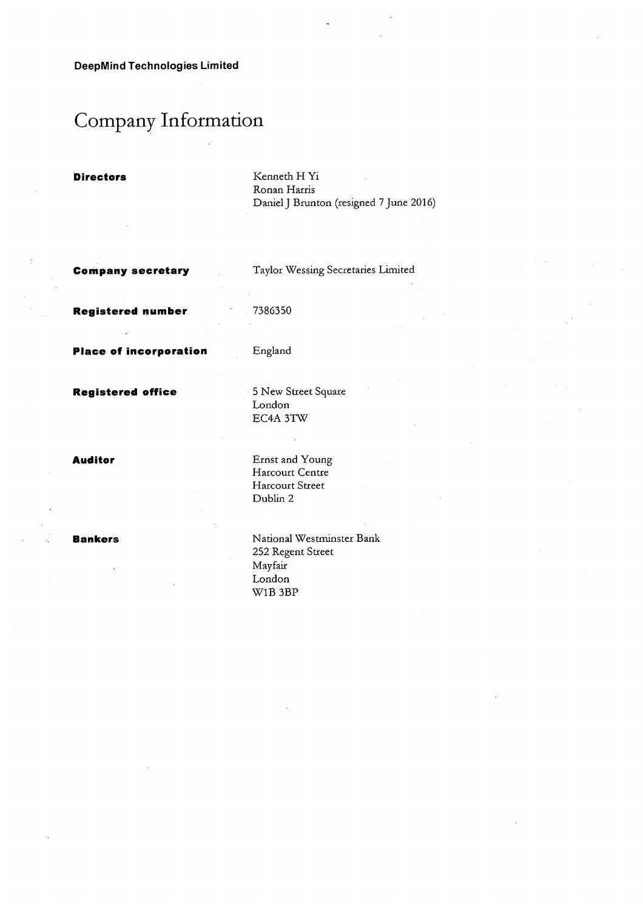DeepMind Technologies Limited

# Company Information

Directors Kenneth H Yi Ronan Harris Daniel J Brunton (resigned 7 June 2016)

Company secretary Taylor Wessing Secretaries Limited

Registered number 7386350

Place of incorporation **England** 

**Registered office** 5 New Street Square

London EC4A 3TW

Auditor **Example 2018** Ernst and Young Harcourt Centre Harcourt Street Dublin 2

**Bankers** National Westminster Bank 252 Regent Street Mayfair London W1B 3BP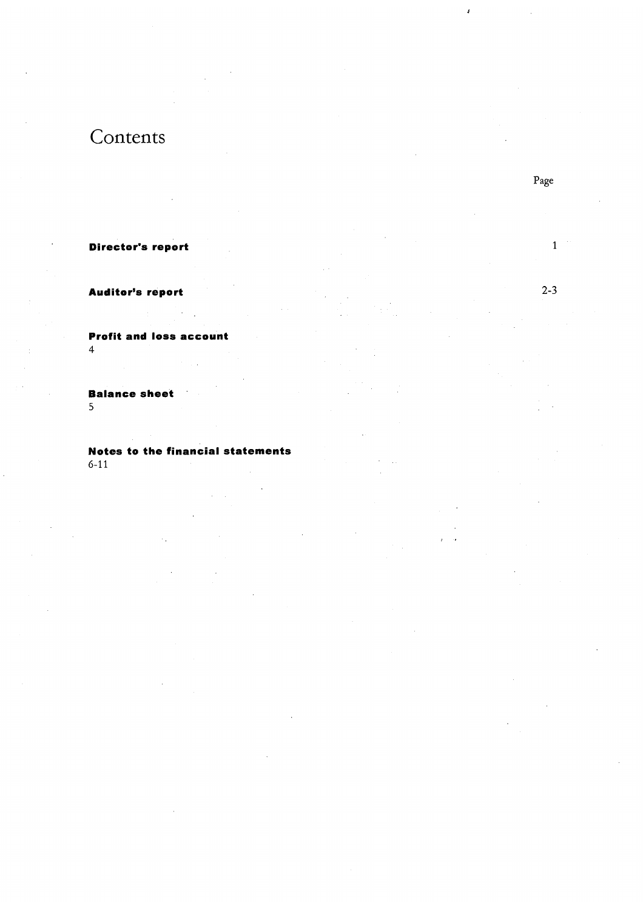# Contents

Director's report

Auditor's report

Profit and loss account

4

Balance sheet

5

Notes to the financial statements 6-11

Page

 $\overline{1}$ 

 $\overline{1}$ 

2-3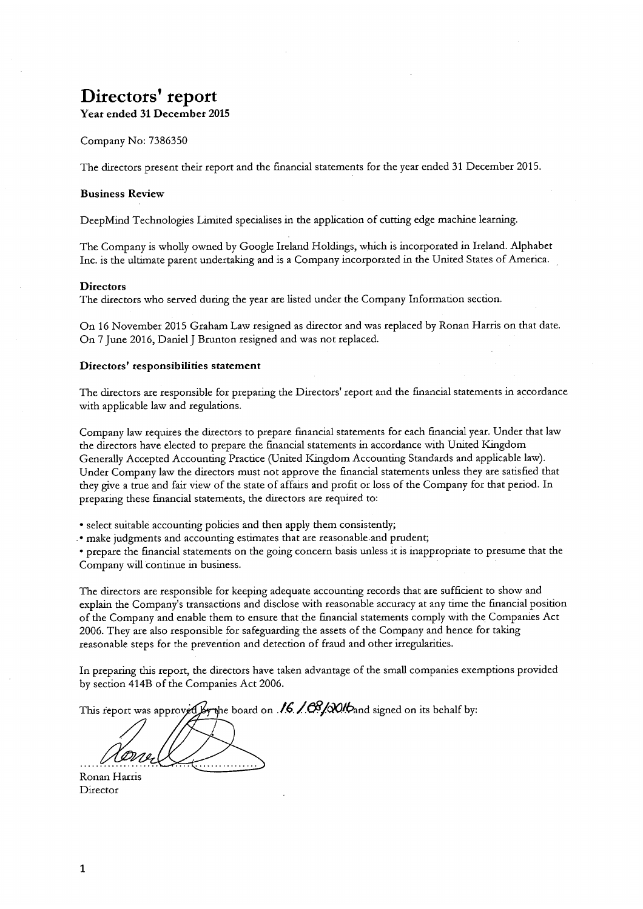## Directors' report Year ended 31 December 2015

Company No: 7386350

The directors present their report and the financial statements for the year ended 31 December 2015.

### Business Review

DeepMind Technologies Limited specialises in the application of cutting edge machine learning.

The Company is wholly owned by Google Ireland Holdings, which is incorporated in Ireland. Alphabet Inc. is the ultimate parent undertaking and is a Company incorporated in the United States of America.

### **Directors**

The directors who served during the year are listed under the Company Information section.

On <sup>16</sup> November 2015 Graham Lawresigned as director and was replaced by Ronan Harris on that date. On <sup>7</sup> June 2016, Daniel <sup>J</sup> Brunton resigned and was not replaced.

### Directors' responsibilities statement

The directors are responsible for preparing the Directors' report and the financial statements in accordance with applicable law and regulations.

Companylaw requires the directors to prepare financial statements for each financial year. Under that law the directors have elected to prepare the financial statements in accordance with United Kingdom Generally Accepted Accounting Practice (United Kingdom Accounting Standards and applicable law). Under Company law the directors must not approve the financial statements unless they are satisfied that they give <sup>a</sup> true andfair view of the state of affairs and profit or loss of the Company for that period. In preparing these financial statements, the directors are required to:

\* select suitable accounting policies and then apply them consistently;

.¢ make judgments and accounting estimates that are reasonable.and prudent;

\* prepare the financial statements on the going concern basis unless it is inappropriate to presume that the Company will continue in business.

The directors are responsible for keeping adequate accounting records that are sufficient to show and explain the Company's transactions and disclose with reasonable accuracy at any time the financial position of the Company and enable them to ensure that the financial statements comply with the Companies Act 2006. They are also responsible for safeguarding the assets of the Company and hence for taking reasonable steps for the prevention and detection of fraud and other irregularities.

In preparing this report, the directors have taken advantage of the small companies exemptions provided by section 414B of the Companies Act 2006.

This report was approved by the board on  $\sqrt{6}$  /  $\frac{6}{2}$   $\frac{100}{2}$  and signed on its behalf by:

reparing this report, the direction 414B of the Compan<br>
report was approved By the<br>
report was approved By the<br>
company<br>
an Harris<br>
cctor ain the Company's<br>e Company and espace to the Company and despared to the consule steps for the reparing this report<br>reparing this report<br>ection 414B of the report was approved the report was approved the report was approv

Ronan Harris Director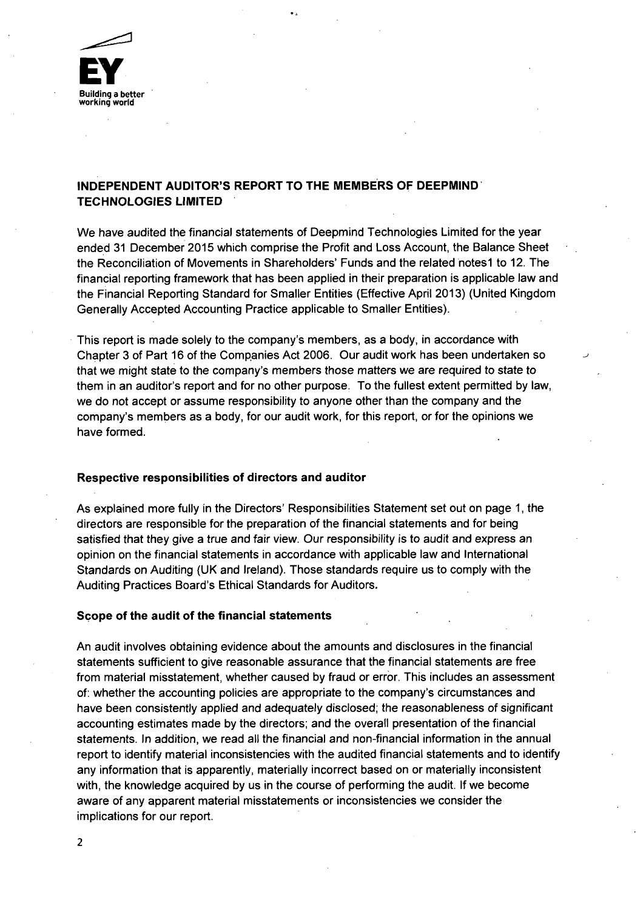

### INDEPENDENT AUDITOR'S REPORT TO THE MEMBERS OF DEEPMIND TECHNOLOGIES LIMITED

We have audited the financial statements of Deepmind Technologies Limited for the year ended 31 December 2015 which comprise the Profit and Loss Account, the Balance Sheet the Reconciliation of Movements in Shareholders' Funds and the related notes1 to 12. The financial reporting framework that has been applied in their preparation is applicable law and the Financial Reporting Standard for Smaller Entities (Effective April 2013) (United Kingdom Generally Accepted Accounting Practice applicable to Smaller Entities).

This report is made solely to the company's members, as a body, in accordance with Chapter3 of Part <sup>16</sup> of the Companies Act 2006. Our audit work has been undertaken so that we might state to the company's members those matters we are required to state to them in an auditor's report and for no other purpose. Tothe fullest extent permitted by law, we do not accept or assume responsibility to anyone other than the company and the company's members as a body, for our audit work, for this report, or for the opinions we have formed.

### Respective responsibilities of directors and auditor

As explained more fully in the Directors' Responsibilities Statement set out on page 1, the directors are responsible for the preparation of the financial statements and for being satisfied that they give a true and fair view. Our responsibility is to audit and express an opinion on the financial statements in accordancewith applicable law and International Standards on Auditing (UK and Ireland). Those standards require us to comply with the Auditing Practices Board's Ethical Standards for Auditors. ,

### Scope of the audit of the financial statements

An audit involves obtaining evidence about the amounts and disclosures in the financial statements sufficient to give reasonable assurance that the financial statements are free from material misstatement, whether caused by fraud or error. This includes an assessment of: whether the accounting policies are appropriate to the company's circumstances and have been consistently applied and adequately disclosed; the reasonableness of significant accounting estimates made by the directors; and the overall presentation of the financial statements. In addition, we read all the financial and non-financial information in the annual report to identify material inconsistencies with the audited financial statements and to identify any information that is apparently, materially incorrect based on or materially inconsistent with, the knowledge acquired by us in the course of performing the audit. If we become aware of any apparent material misstatements or inconsistencies we consider the implications for our report.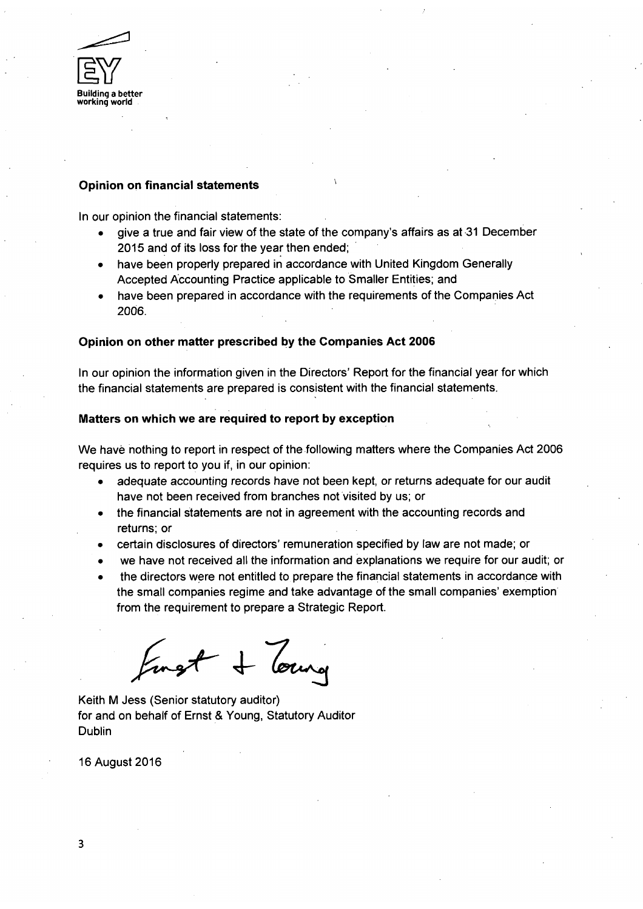

### Opinion on financial statements

In our opinion the financial statements:

- give a true andfair view of the state of the company's affairs as at 31 December 2015 and of its loss for the year then ended;
- have been properly prepared in accordance with United Kingdom Generally Accepted Accounting Practice applicable to Smaller Entities; and
- have been prepared in accordance with the requirements of the Companies Act  $\bullet$ 2006.

### Opinion on other matter prescribed by the Companies Act 2006

In our opinion the information given in the Directors' Report for the financial year for which the financial statements are prepared is consistent with the financial statements.

### Matters on which we are required to report by exception

We have nothing to report in respect of the following matters where the Companies Act 2006 requires us to report to you if, in our opinion:

- adequate accounting records have not been kept, or returns adequate for our audit  $\bullet$ have not been received from branches not visited by us; or
- the financial statements are not in agreementwith the accounting records and  $\bullet$ returns; or
- certain disclosures of directors' remuneration specified by law are not made; or
- we have not received all the information and explanations we require for our audit; or
- the directors were not entitled to prepare the financial statements in accordance with the small companies regime and take advantage of the small companies' exemption from the requirement to prepare a Strategic Report.

Eingt + lound

Keith M Jess (Senior statutory auditor) for and on behaif of Ernst & Young, Statutory Auditor Dublin

16 August 2016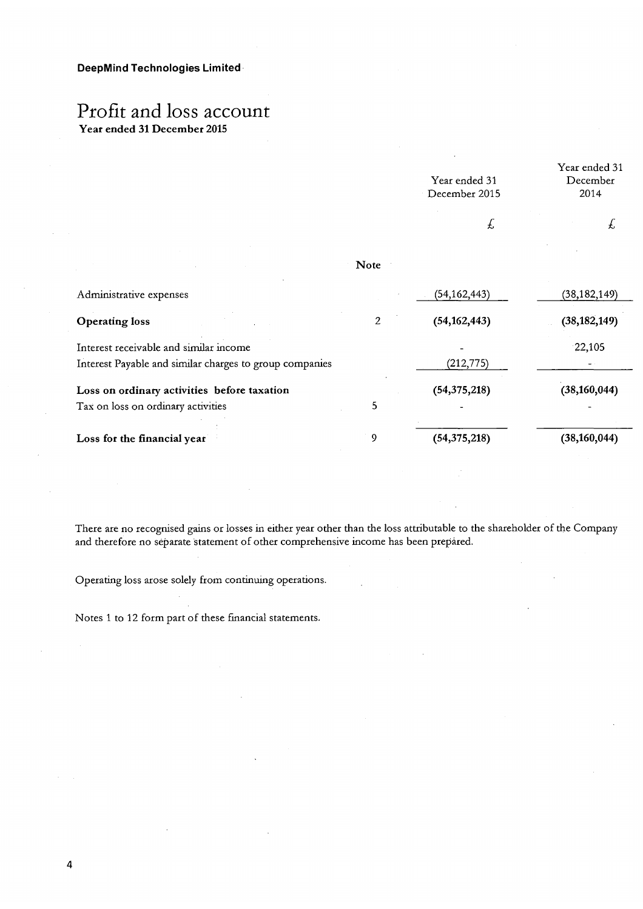DeepMind Technologies Limited.

# Profit and loss account

Year ended 31 December 2015

|                                                         |                |                | Year ended 31  |
|---------------------------------------------------------|----------------|----------------|----------------|
|                                                         |                | Year ended 31  | December       |
|                                                         |                | December 2015  | 2014           |
|                                                         |                | £              | £,             |
|                                                         |                |                |                |
|                                                         | <b>Note</b>    |                |                |
| Administrative expenses                                 |                | (54, 162, 443) | (38, 182, 149) |
| <b>Operating loss</b>                                   | $\overline{c}$ | (54, 162, 443) | (38, 182, 149) |
| Interest receivable and similar income                  |                |                | 22,105         |
| Interest Payable and similar charges to group companies |                | (212, 775)     |                |
| Loss on ordinary activities before taxation             |                | (54, 375, 218) | (38, 160, 044) |
| Tax on loss on ordinary activities                      | 5              |                |                |
|                                                         | 9              |                | (38, 160, 044) |
| Loss for the financial year                             |                | (54, 375, 218) |                |

There are no recognised gains or losses in either year other than the loss attributable to the shareholder of the Company and therefore no separate statement of other comprehensive income has been prepared.

Operating loss arose solely from continuing operations.

Notes <sup>1</sup> to 12 form part of these financial statements.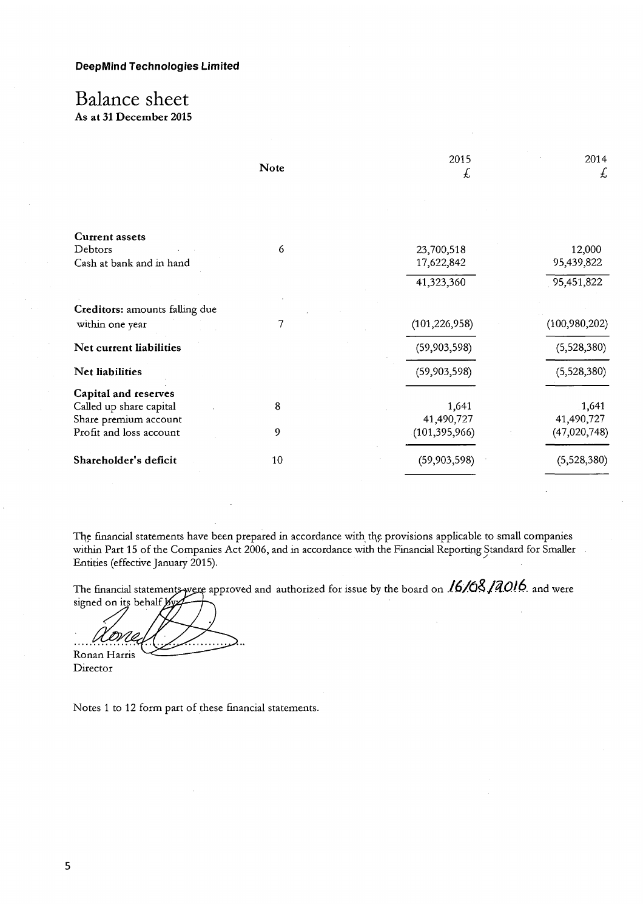# Balance sheet As at 31 December 2015

| As at 31 December 2013                                                                                                                                                                                                                     |  |
|--------------------------------------------------------------------------------------------------------------------------------------------------------------------------------------------------------------------------------------------|--|
|                                                                                                                                                                                                                                            |  |
| <b>Note</b> 2015 2014<br>$\downarrow$ 2014                                                                                                                                                                                                 |  |
|                                                                                                                                                                                                                                            |  |
|                                                                                                                                                                                                                                            |  |
|                                                                                                                                                                                                                                            |  |
|                                                                                                                                                                                                                                            |  |
|                                                                                                                                                                                                                                            |  |
|                                                                                                                                                                                                                                            |  |
| <b>Current assets</b><br>Debtors<br>Cash at bank and in hand<br>$\begin{array}{r} 6 \overline{)17,622,842} \\ -41,323,360 \end{array}$ $\begin{array}{r} 12,000 \\ 95,439,822 \\ \hline 95,451,822 \end{array}$                            |  |
|                                                                                                                                                                                                                                            |  |
|                                                                                                                                                                                                                                            |  |
|                                                                                                                                                                                                                                            |  |
|                                                                                                                                                                                                                                            |  |
|                                                                                                                                                                                                                                            |  |
|                                                                                                                                                                                                                                            |  |
|                                                                                                                                                                                                                                            |  |
|                                                                                                                                                                                                                                            |  |
| Creditors: amounts falling due<br>within one year and the series of the current liabilities (5,528,380)<br>Net taurent liabilities (5,528,380)<br>Net tabilities (5,528,380)<br>Compital and reserves<br>Capital and reserves<br>Called up |  |
|                                                                                                                                                                                                                                            |  |
|                                                                                                                                                                                                                                            |  |
|                                                                                                                                                                                                                                            |  |
|                                                                                                                                                                                                                                            |  |
|                                                                                                                                                                                                                                            |  |
|                                                                                                                                                                                                                                            |  |

The financial statements have been prepared in accordance with the provisions applicable to small companies within Part 15 of the Companies Act 2006, and in accordance with the Financial Reporting Standard for Smaller Entities (effective January 2015).

The financial statements were approved and authorized for issue by the board on  $16/68/7006$ . and were signed on its behalf by

Ronan Harris

Director

Notes <sup>1</sup> to 12 form part of these financial statements.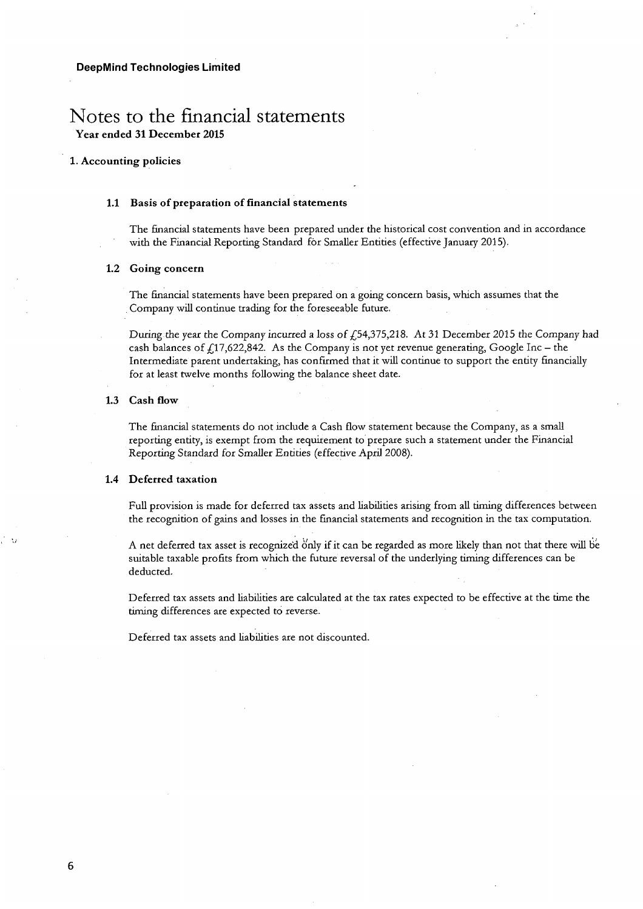Year ended 31 December 2015

### 1. Accounting policies

### 1.1 Basis of preparation of financial statements

The financial statements have been prepared under the historical cost convention and in accordance with the Financial Reporting Standard for Smaller Entities (effective January 2015).

### 1.2 Going concern

The financial statements have been prepared on a going concern basis, which assumes that the \_Companywill continue trading for the foreseeable future.

During the year the Company incurred a loss of £54,375,218. At 31 December 2015 the Company had cash balances of  $f_1$ 17,622,842. As the Company is not yet revenue generating, Google Inc – the Intermediate parent undertaking, has confirmed that it will continue to support the entity financially for at least twelve months following the balance sheet date.

### 1.3 Cash flow

The financial statements do not include a Cash flow statement because the Company, as a small reporting entity, is exempt from the requirement to prepare such a statement under the Financial Reporting Standard for Smaller Entities (effective April 2008).

### 1.4 Deferred taxation

Full provision is made for deferred tax assets and liabilities arising from all timing differences between the recognition of gains and losses in the financial statements and recognition in the tax computation.

A net deferred tax asset is recognized only if it can be regarded as more likely than not that there will be suitable taxable profits from which the future reversal of the underlying timing differences can be deducted.

Deferred tax assets and liabilities are calculated at the tax rates expected to be effective at the time the timing differences are expected to reverse.

Deferred tax assets and liabilities are not discounted.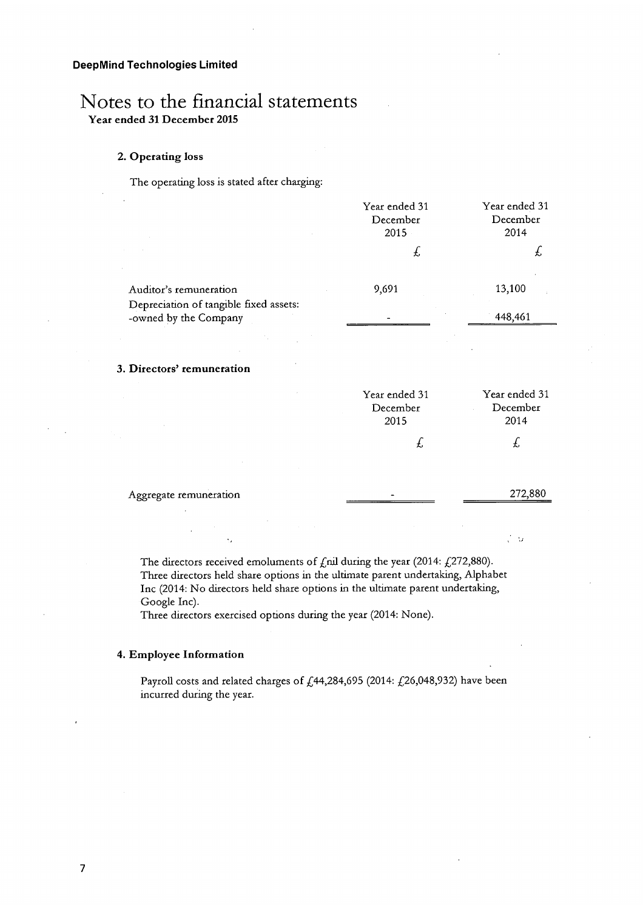### Notes to the financial statements Year ended 31 December 2015

### 2. Operating loss

The operating loss is stated after charging:

|                                                                 | Year ended 31<br>December<br>2015 | Year ended 31<br>December<br>2014 |
|-----------------------------------------------------------------|-----------------------------------|-----------------------------------|
|                                                                 | Ł                                 |                                   |
| Auditor's remuneration                                          | 9,691                             | 13,100                            |
| Depreciation of tangible fixed assets:<br>-owned by the Company |                                   | 448,461                           |
|                                                                 |                                   |                                   |

### 3. Directors' remuneration

| Year ended 31 | Year ended 31 |  |
|---------------|---------------|--|
| December      | December      |  |
| 2015          | 2014          |  |
|               |               |  |

Aggregate remuneration

√.<br>√

272,880

The directors received emoluments of  $f$  and during the year (2014:  $f$ 272,880). Three directors held share options in the ultimate parent undertaking, Alphabet Inc (2014: No directors held share options in the ultimate parent undertaking, Google Inc).

Three directors exercised options during the year (2014: None).

### 4. Employee Information

Payroll costs and related charges of  $f$ 44,284,695 (2014:  $f$ 26,048,932) have been incurred during the year.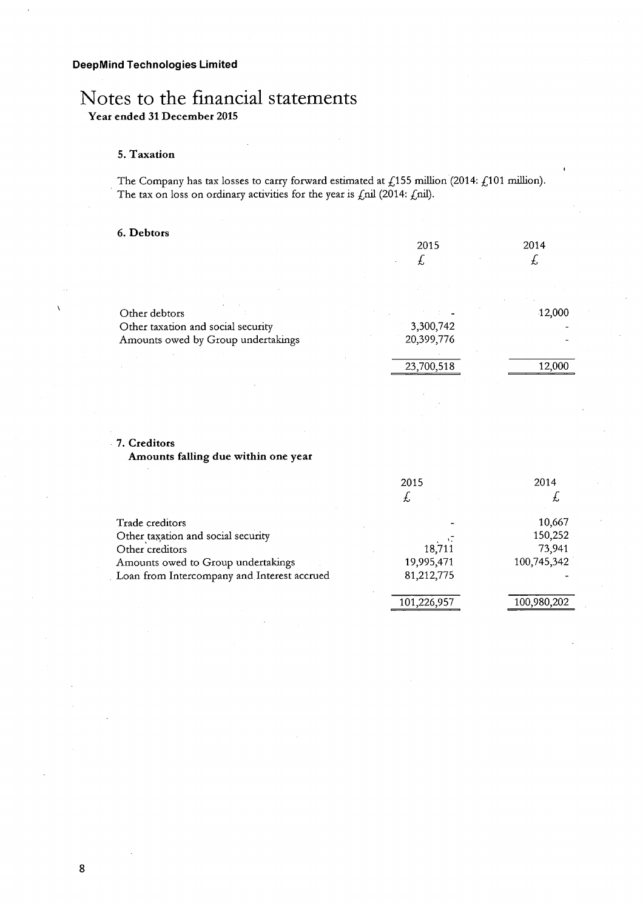Year ended 31 December 2015

### 5. Taxation

The Company has tax losses to carry forward estimated at £155 million (2014: £101 million). The tax on loss on ordinary activities for the year is  $\zeta$ nil (2014:  $\zeta$ nil).

### 6. Debtors

|                                             | 2015        | 2014        |
|---------------------------------------------|-------------|-------------|
|                                             | £           | £           |
|                                             |             |             |
|                                             |             |             |
| Other debtors                               |             | 12,000      |
| Other taxation and social security          | 3,300,742   |             |
| Amounts owed by Group undertakings          | 20,399,776  |             |
|                                             |             |             |
|                                             | 23,700,518  | 12,000      |
|                                             |             |             |
|                                             |             |             |
|                                             |             |             |
| 7. Creditors                                |             |             |
| Amounts falling due within one year         |             |             |
|                                             |             |             |
|                                             | 2015        | 2014        |
|                                             | £           | £           |
| Trade creditors                             |             | 10,667      |
| Other taxation and social security          |             | 150,252     |
| Other creditors                             | 18,711      | 73,941      |
| Amounts owed to Group undertakings          | 19,995,471  | 100,745,342 |
| Loan from Intercompany and Interest accrued | 81,212,775  |             |
|                                             |             |             |
|                                             | 101,226,957 | 100,980,202 |
|                                             |             |             |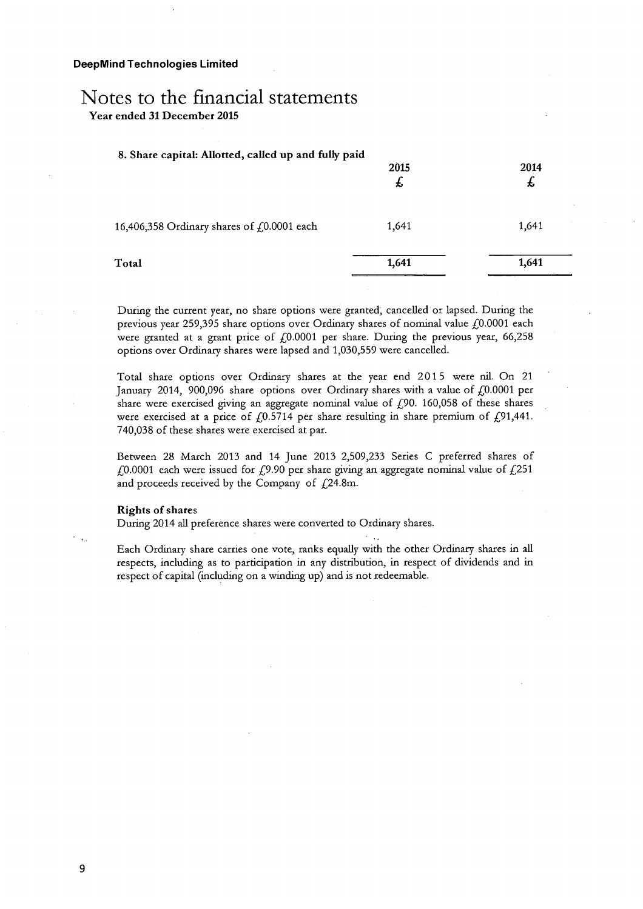Year ended 31 December 2015

| 8. Share capital: Allotted, called up and fully paid | 2015<br>圡 | 2014<br>t, |
|------------------------------------------------------|-----------|------------|
| 16,406,358 Ordinary shares of £0.0001 each           | 1,641     | 1,641      |
| Total                                                | 1,641     | 1,641      |

During the current year, no share options were granted, cancelled or lapsed. During the previous year 259,395 share options over Ordinary shares of nominal value  $f(0.0001)$  each were granted at a grant price of  $f(0.0001)$  per share. During the previous year, 66,258 options over Ordinary shares were lapsed and 1,030,559 were cancelled.

Total share options over Ordinary shares at the year end 2015 were nil. On <sup>21</sup> January 2014, 900,096 share options over Ordinary shares with a value of  $f(0.0001$  per share were exercised giving an aggregate nominal value of  $f_{1,0}$  160,058 of these shares were exercised at a price of  $f(0.5714)$  per share resulting in share premium of  $f(91,441)$ . 740,038 of these shares were exercised at par.

Between 28 March 2013 and 14 June 2013 2,509,233 Series C preferred shares of  $f(0.0001)$  each were issued for  $f(0.900)$  per share giving an aggregate nominal value of  $f(251)$ and proceeds received by the Company of  $f$ 24.8m.

### Rights of shares

During 2014 all preference shares were converted to Ordinary shares.

Each Ordinary share carries one vote, ranks equally with the other Ordinary shares in all respects, including as to participation in any distribution, in respect of dividends and in respect of capital (including on a winding up) and is not redeemable.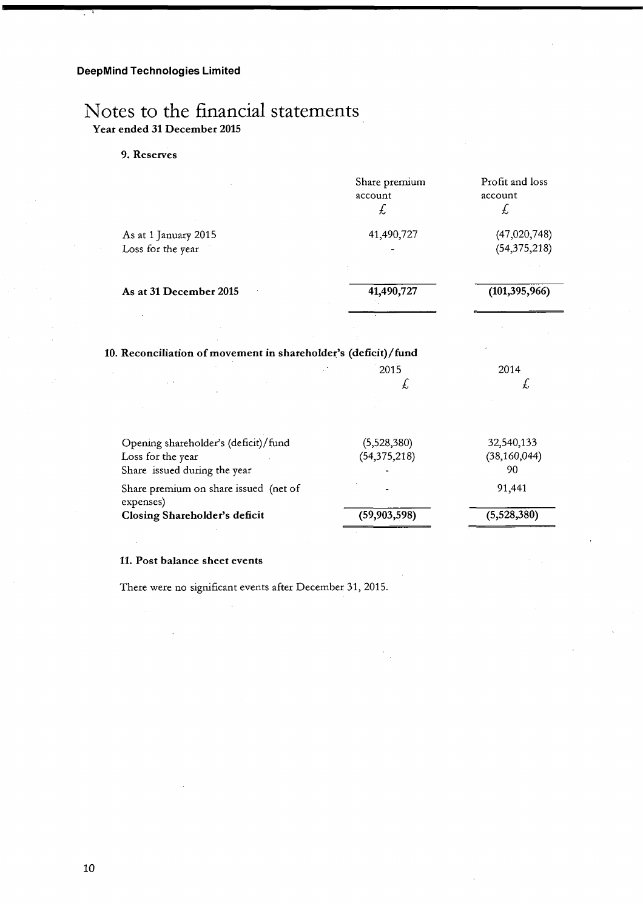<u>a sa salah sahiji désa di kacamatan Sababaratan Sababaratan Sababaratan Sababaratan Sababaratan Sababaratan Sa</u>

Year ended 31 December 2015

9, Reserves

| Share premium<br>account<br>£ | Profit and loss<br>account<br>£                                                  |
|-------------------------------|----------------------------------------------------------------------------------|
| 41,490,727                    | (47,020,748)<br>(54, 375, 218)                                                   |
| 41,490,727                    | (101, 395, 966)                                                                  |
|                               |                                                                                  |
|                               |                                                                                  |
| 2015<br>£,                    | 2014<br>£,                                                                       |
|                               |                                                                                  |
| (5,528,380)<br>(54, 375, 218) | 32,540,133<br>(38, 160, 044)<br>90                                               |
|                               | 91,441                                                                           |
|                               | (5,528,380)                                                                      |
|                               | 10. Reconciliation of movement in shareholder's (deficit)/fund<br>(59, 903, 598) |

### 11. Post balance sheet events

There were no significant events after December 31, 2015.